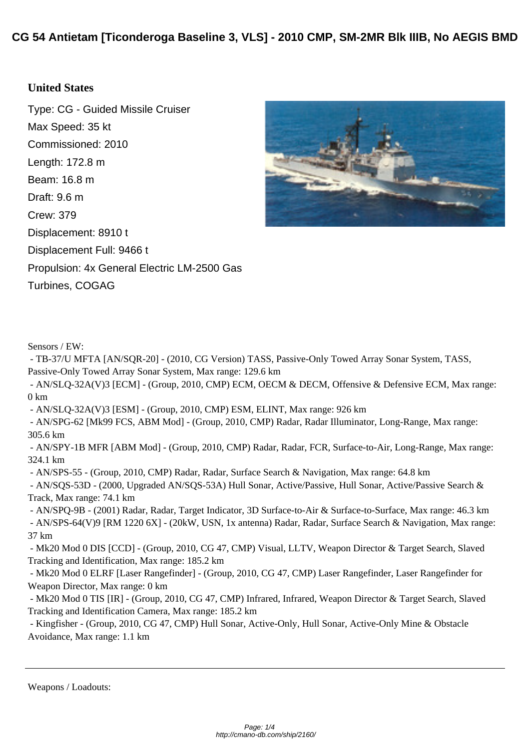## **[United States](http://cmano-db.com/ship/2160/)**

Type: CG - Guided Missile Cruiser Max Speed: 35 kt Commissioned: 2010 Length: 172.8 m Beam: 16.8 m Draft: 9.6 m Crew: 379 Displacement: 8910 t Displacement Full: 9466 t Propulsion: 4x General Electric LM-2500 Gas Turbines, COGAG



Sensors / EW:

 - TB-37/U MFTA [AN/SQR-20] - (2010, CG Version) TASS, Passive-Only Towed Array Sonar System, TASS, Passive-Only Towed Array Sonar System, Max range: 129.6 km

 - AN/SLQ-32A(V)3 [ECM] - (Group, 2010, CMP) ECM, OECM & DECM, Offensive & Defensive ECM, Max range: 0 km

- AN/SLQ-32A(V)3 [ESM] - (Group, 2010, CMP) ESM, ELINT, Max range: 926 km

 - AN/SPG-62 [Mk99 FCS, ABM Mod] - (Group, 2010, CMP) Radar, Radar Illuminator, Long-Range, Max range: 305.6 km

 - AN/SPY-1B MFR [ABM Mod] - (Group, 2010, CMP) Radar, Radar, FCR, Surface-to-Air, Long-Range, Max range: 324.1 km

- AN/SPS-55 - (Group, 2010, CMP) Radar, Radar, Surface Search & Navigation, Max range: 64.8 km

 - AN/SQS-53D - (2000, Upgraded AN/SQS-53A) Hull Sonar, Active/Passive, Hull Sonar, Active/Passive Search & Track, Max range: 74.1 km

 - AN/SPQ-9B - (2001) Radar, Radar, Target Indicator, 3D Surface-to-Air & Surface-to-Surface, Max range: 46.3 km - AN/SPS-64(V)9 [RM 1220 6X] - (20kW, USN, 1x antenna) Radar, Radar, Surface Search & Navigation, Max range: 37 km

 - Mk20 Mod 0 DIS [CCD] - (Group, 2010, CG 47, CMP) Visual, LLTV, Weapon Director & Target Search, Slaved Tracking and Identification, Max range: 185.2 km

 - Mk20 Mod 0 ELRF [Laser Rangefinder] - (Group, 2010, CG 47, CMP) Laser Rangefinder, Laser Rangefinder for Weapon Director, Max range: 0 km

 - Mk20 Mod 0 TIS [IR] - (Group, 2010, CG 47, CMP) Infrared, Infrared, Weapon Director & Target Search, Slaved Tracking and Identification Camera, Max range: 185.2 km

 - Kingfisher - (Group, 2010, CG 47, CMP) Hull Sonar, Active-Only, Hull Sonar, Active-Only Mine & Obstacle Avoidance, Max range: 1.1 km

Weapons / Loadouts: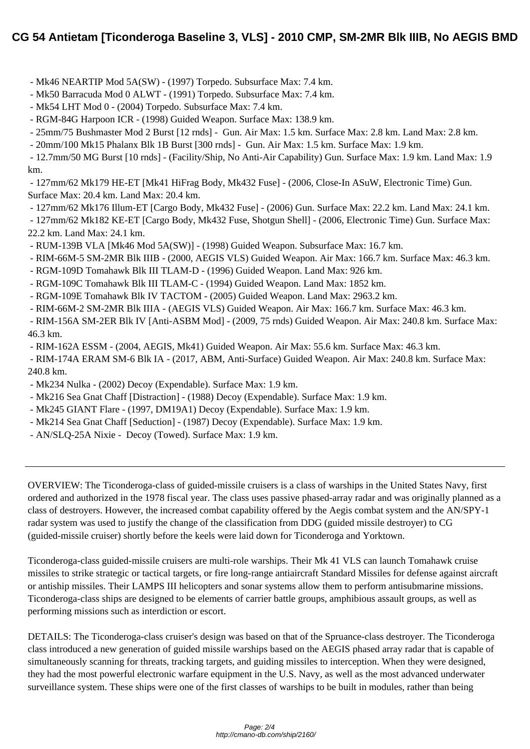- [Mk46 NEARTIP Mod 5A\(SW\) \(1997\) Torpedo. Subsurface Max: 7.4 km.](http://cmano-db.com/ship/2160/)
- Mk50 Barracuda Mod 0 ALWT (1991) Torpedo. Subsurface Max: 7.4 km.
- Mk54 LHT Mod 0 (2004) Torpedo. Subsurface Max: 7.4 km.
- RGM-84G Harpoon ICR (1998) Guided Weapon. Surface Max: 138.9 km.
- 25mm/75 Bushmaster Mod 2 Burst [12 rnds] Gun. Air Max: 1.5 km. Surface Max: 2.8 km. Land Max: 2.8 km.

- 20mm/100 Mk15 Phalanx Blk 1B Burst [300 rnds] - Gun. Air Max: 1.5 km. Surface Max: 1.9 km.

 - 12.7mm/50 MG Burst [10 rnds] - (Facility/Ship, No Anti-Air Capability) Gun. Surface Max: 1.9 km. Land Max: 1.9 km.

 - 127mm/62 Mk179 HE-ET [Mk41 HiFrag Body, Mk432 Fuse] - (2006, Close-In ASuW, Electronic Time) Gun. Surface Max: 20.4 km. Land Max: 20.4 km.

- 127mm/62 Mk176 Illum-ET [Cargo Body, Mk432 Fuse] - (2006) Gun. Surface Max: 22.2 km. Land Max: 24.1 km.

 - 127mm/62 Mk182 KE-ET [Cargo Body, Mk432 Fuse, Shotgun Shell] - (2006, Electronic Time) Gun. Surface Max: 22.2 km. Land Max: 24.1 km.

- RUM-139B VLA [Mk46 Mod 5A(SW)] (1998) Guided Weapon. Subsurface Max: 16.7 km.
- RIM-66M-5 SM-2MR Blk IIIB (2000, AEGIS VLS) Guided Weapon. Air Max: 166.7 km. Surface Max: 46.3 km.
- RGM-109D Tomahawk Blk III TLAM-D (1996) Guided Weapon. Land Max: 926 km.
- RGM-109C Tomahawk Blk III TLAM-C (1994) Guided Weapon. Land Max: 1852 km.
- RGM-109E Tomahawk Blk IV TACTOM (2005) Guided Weapon. Land Max: 2963.2 km.
- RIM-66M-2 SM-2MR Blk IIIA (AEGIS VLS) Guided Weapon. Air Max: 166.7 km. Surface Max: 46.3 km.

 - RIM-156A SM-2ER Blk IV [Anti-ASBM Mod] - (2009, 75 rnds) Guided Weapon. Air Max: 240.8 km. Surface Max: 46.3 km.

- RIM-162A ESSM - (2004, AEGIS, Mk41) Guided Weapon. Air Max: 55.6 km. Surface Max: 46.3 km.

 - RIM-174A ERAM SM-6 Blk IA - (2017, ABM, Anti-Surface) Guided Weapon. Air Max: 240.8 km. Surface Max: 240.8 km.

- Mk234 Nulka (2002) Decoy (Expendable). Surface Max: 1.9 km.
- Mk216 Sea Gnat Chaff [Distraction] (1988) Decoy (Expendable). Surface Max: 1.9 km.
- Mk245 GIANT Flare (1997, DM19A1) Decoy (Expendable). Surface Max: 1.9 km.
- Mk214 Sea Gnat Chaff [Seduction] (1987) Decoy (Expendable). Surface Max: 1.9 km.
- AN/SLQ-25A Nixie Decoy (Towed). Surface Max: 1.9 km.

OVERVIEW: The Ticonderoga-class of guided-missile cruisers is a class of warships in the United States Navy, first ordered and authorized in the 1978 fiscal year. The class uses passive phased-array radar and was originally planned as a class of destroyers. However, the increased combat capability offered by the Aegis combat system and the AN/SPY-1 radar system was used to justify the change of the classification from DDG (guided missile destroyer) to CG (guided-missile cruiser) shortly before the keels were laid down for Ticonderoga and Yorktown.

Ticonderoga-class guided-missile cruisers are multi-role warships. Their Mk 41 VLS can launch Tomahawk cruise missiles to strike strategic or tactical targets, or fire long-range antiaircraft Standard Missiles for defense against aircraft or antiship missiles. Their LAMPS III helicopters and sonar systems allow them to perform antisubmarine missions. Ticonderoga-class ships are designed to be elements of carrier battle groups, amphibious assault groups, as well as performing missions such as interdiction or escort.

DETAILS: The Ticonderoga-class cruiser's design was based on that of the Spruance-class destroyer. The Ticonderoga class introduced a new generation of guided missile warships based on the AEGIS phased array radar that is capable of simultaneously scanning for threats, tracking targets, and guiding missiles to interception. When they were designed, they had the most powerful electronic warfare equipment in the U.S. Navy, as well as the most advanced underwater surveillance system. These ships were one of the first classes of warships to be built in modules, rather than being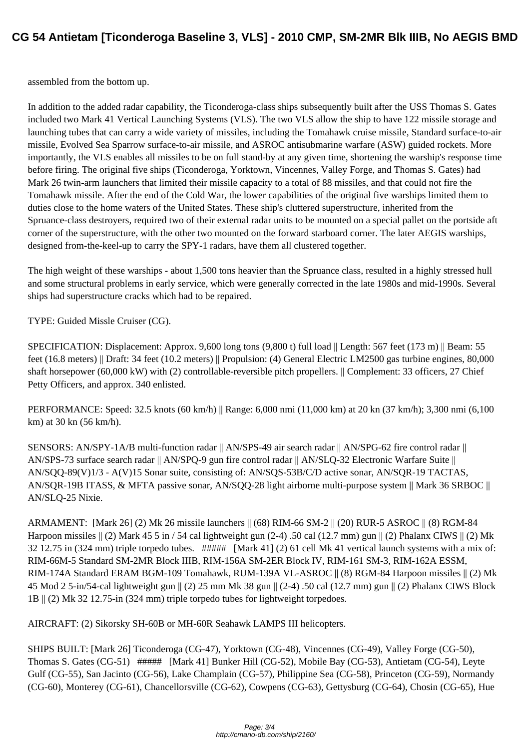[assembled from the bottom up.](http://cmano-db.com/ship/2160/)

In addition to the added radar capability, the Ticonderoga-class ships subsequently built after the USS Thomas S. Gates included two Mark 41 Vertical Launching Systems (VLS). The two VLS allow the ship to have 122 missile storage and launching tubes that can carry a wide variety of missiles, including the Tomahawk cruise missile, Standard surface-to-air missile, Evolved Sea Sparrow surface-to-air missile, and ASROC antisubmarine warfare (ASW) guided rockets. More importantly, the VLS enables all missiles to be on full stand-by at any given time, shortening the warship's response time before firing. The original five ships (Ticonderoga, Yorktown, Vincennes, Valley Forge, and Thomas S. Gates) had Mark 26 twin-arm launchers that limited their missile capacity to a total of 88 missiles, and that could not fire the Tomahawk missile. After the end of the Cold War, the lower capabilities of the original five warships limited them to duties close to the home waters of the United States. These ship's cluttered superstructure, inherited from the Spruance-class destroyers, required two of their external radar units to be mounted on a special pallet on the portside aft corner of the superstructure, with the other two mounted on the forward starboard corner. The later AEGIS warships, designed from-the-keel-up to carry the SPY-1 radars, have them all clustered together.

The high weight of these warships - about 1,500 tons heavier than the Spruance class, resulted in a highly stressed hull and some structural problems in early service, which were generally corrected in the late 1980s and mid-1990s. Several ships had superstructure cracks which had to be repaired.

TYPE: Guided Missle Cruiser (CG).

SPECIFICATION: Displacement: Approx. 9,600 long tons (9,800 t) full load || Length: 567 feet (173 m) || Beam: 55 feet (16.8 meters) || Draft: 34 feet (10.2 meters) || Propulsion: (4) General Electric LM2500 gas turbine engines, 80,000 shaft horsepower (60,000 kW) with (2) controllable-reversible pitch propellers. || Complement: 33 officers, 27 Chief Petty Officers, and approx. 340 enlisted.

PERFORMANCE: Speed: 32.5 knots (60 km/h) || Range: 6,000 nmi (11,000 km) at 20 kn (37 km/h); 3,300 nmi (6,100 km) at 30 kn (56 km/h).

SENSORS: AN/SPY-1A/B multi-function radar || AN/SPS-49 air search radar || AN/SPG-62 fire control radar || AN/SPS-73 surface search radar || AN/SPQ-9 gun fire control radar || AN/SLQ-32 Electronic Warfare Suite || AN/SQQ-89(V)1/3 - A(V)15 Sonar suite, consisting of: AN/SQS-53B/C/D active sonar, AN/SQR-19 TACTAS, AN/SQR-19B ITASS, & MFTA passive sonar, AN/SQQ-28 light airborne multi-purpose system || Mark 36 SRBOC || AN/SLQ-25 Nixie.

ARMAMENT: [Mark 26] (2) Mk 26 missile launchers || (68) RIM-66 SM-2 || (20) RUR-5 ASROC || (8) RGM-84 Harpoon missiles  $\parallel$  (2) Mark 45 5 in / 54 cal lightweight gun (2-4) .50 cal (12.7 mm) gun  $\parallel$  (2) Phalanx CIWS  $\parallel$  (2) Mk 32 12.75 in (324 mm) triple torpedo tubes. ##### [Mark 41] (2) 61 cell Mk 41 vertical launch systems with a mix of: RIM-66M-5 Standard SM-2MR Block IIIB, RIM-156A SM-2ER Block IV, RIM-161 SM-3, RIM-162A ESSM, RIM-174A Standard ERAM BGM-109 Tomahawk, RUM-139A VL-ASROC || (8) RGM-84 Harpoon missiles || (2) Mk 45 Mod 2 5-in/54-cal lightweight gun || (2) 25 mm Mk 38 gun || (2-4) .50 cal (12.7 mm) gun || (2) Phalanx CIWS Block 1B || (2) Mk 32 12.75-in (324 mm) triple torpedo tubes for lightweight torpedoes.

AIRCRAFT: (2) Sikorsky SH-60B or MH-60R Seahawk LAMPS III helicopters.

SHIPS BUILT: [Mark 26] Ticonderoga (CG-47), Yorktown (CG-48), Vincennes (CG-49), Valley Forge (CG-50), Thomas S. Gates (CG-51) ##### [Mark 41] Bunker Hill (CG-52), Mobile Bay (CG-53), Antietam (CG-54), Leyte Gulf (CG-55), San Jacinto (CG-56), Lake Champlain (CG-57), Philippine Sea (CG-58), Princeton (CG-59), Normandy (CG-60), Monterey (CG-61), Chancellorsville (CG-62), Cowpens (CG-63), Gettysburg (CG-64), Chosin (CG-65), Hue